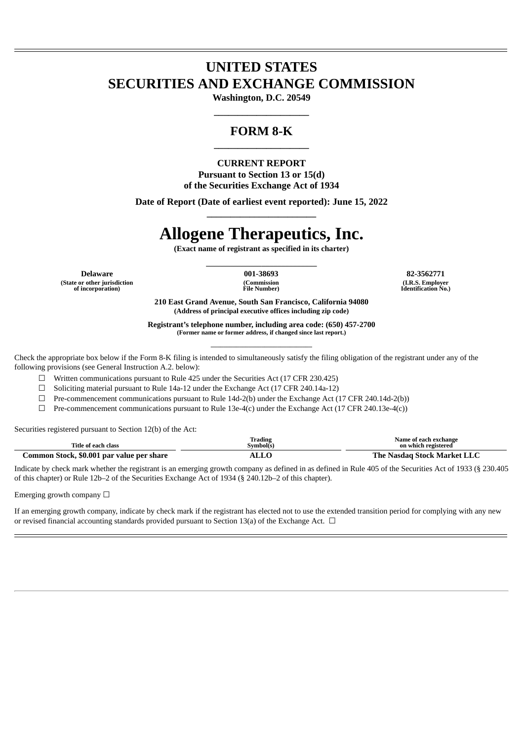## **UNITED STATES SECURITIES AND EXCHANGE COMMISSION**

**Washington, D.C. 20549 \_\_\_\_\_\_\_\_\_\_\_\_\_\_\_\_\_\_\_\_**

### **FORM 8-K \_\_\_\_\_\_\_\_\_\_\_\_\_\_\_\_\_\_\_\_**

#### **CURRENT REPORT**

**Pursuant to Section 13 or 15(d) of the Securities Exchange Act of 1934**

**Date of Report (Date of earliest event reported): June 15, 2022 \_\_\_\_\_\_\_\_\_\_\_\_\_\_\_\_\_\_\_\_\_\_\_**

# **Allogene Therapeutics, Inc.**

**(Exact name of registrant as specified in its charter) \_\_\_\_\_\_\_\_\_\_\_\_\_\_\_\_\_\_\_\_\_\_\_\_\_\_\_\_**

**Delaware 001-38693 82-3562771 (State or other jurisdiction of incorporation)**

**(Commission File Number)**

**(I.R.S. Employer Identification No.)**

**210 East Grand Avenue, South San Francisco, California 94080 (Address of principal executive offices including zip code)**

**Registrant's telephone number, including area code: (650) 457-2700 (Former name or former address, if changed since last report.) \_\_\_\_\_\_\_\_\_\_\_\_\_\_\_\_\_\_\_\_\_\_\_\_\_\_\_\_\_\_\_\_**

Check the appropriate box below if the Form 8-K filing is intended to simultaneously satisfy the filing obligation of the registrant under any of the following provisions (see General Instruction A.2. below):

☐ Written communications pursuant to Rule 425 under the Securities Act (17 CFR 230.425)

☐ Soliciting material pursuant to Rule 14a-12 under the Exchange Act (17 CFR 240.14a-12)

 $\Box$  Pre-commencement communications pursuant to Rule 14d-2(b) under the Exchange Act (17 CFR 240.14d-2(b))

 $\Box$  Pre-commencement communications pursuant to Rule 13e-4(c) under the Exchange Act (17 CFR 240.13e-4(c))

Securities registered pursuant to Section 12(b) of the Act:

| Title of each class                       | Trading<br>svmbol(s | Name of each exchange<br>on which registered |
|-------------------------------------------|---------------------|----------------------------------------------|
| Common Stock, \$0.001 par value per share |                     | The Nasdag Stock Market LLC                  |

Indicate by check mark whether the registrant is an emerging growth company as defined in as defined in Rule 405 of the Securities Act of 1933 (§ 230.405 of this chapter) or Rule 12b–2 of the Securities Exchange Act of 1934 (§ 240.12b–2 of this chapter).

Emerging growth company  $\Box$ 

If an emerging growth company, indicate by check mark if the registrant has elected not to use the extended transition period for complying with any new or revised financial accounting standards provided pursuant to Section 13(a) of the Exchange Act.  $\Box$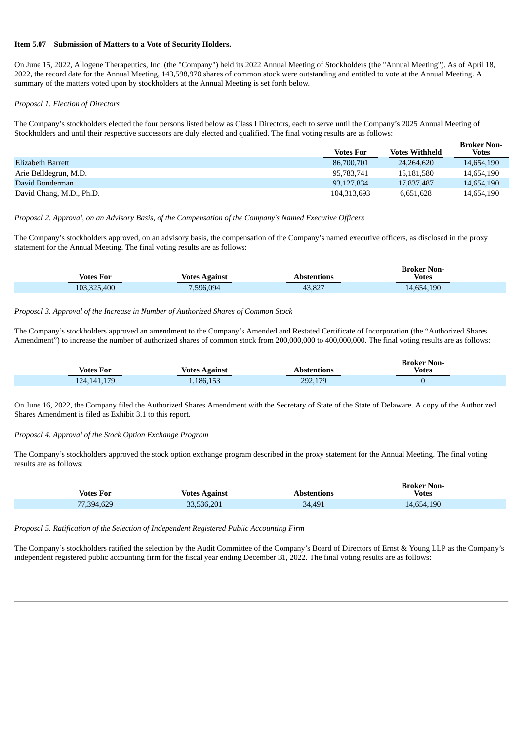#### **Item 5.07 Submission of Matters to a Vote of Security Holders.**

On June 15, 2022, Allogene Therapeutics, Inc. (the "Company") held its 2022 Annual Meeting of Stockholders (the "Annual Meeting"). As of April 18, 2022, the record date for the Annual Meeting, 143,598,970 shares of common stock were outstanding and entitled to vote at the Annual Meeting. A summary of the matters voted upon by stockholders at the Annual Meeting is set forth below.

#### *Proposal 1. Election of Directors*

The Company's stockholders elected the four persons listed below as Class I Directors, each to serve until the Company's 2025 Annual Meeting of Stockholders and until their respective successors are duly elected and qualified. The final voting results are as follows:

|                          | <b>Votes For</b> | <b>Votes Withheld</b> | DIUNCI INUII-<br><b>Votes</b> |
|--------------------------|------------------|-----------------------|-------------------------------|
| Elizabeth Barrett        | 86,700,701       | 24.264,620            | 14,654,190                    |
| Arie Belldegrun, M.D.    | 95,783,741       | 15.181.580            | 14.654.190                    |
| David Bonderman          | 93.127.834       | 17,837,487            | 14,654,190                    |
| David Chang, M.D., Ph.D. | 104.313.693      | 6.651.628             | 14.654.190                    |

**Broker Non-**

#### *Proposal 2. Approval, on an Advisory Basis, of the Compensation of the Company's Named Executive Officers*

The Company's stockholders approved, on an advisory basis, the compensation of the Company's named executive officers, as disclosed in the proxy statement for the Annual Meeting. The final voting results are as follows:

| <b>Votes For</b> | Votes Against | Abstentions | <b>Broker Non-</b><br><b>Votes</b> |
|------------------|---------------|-------------|------------------------------------|
| 103,325,400      | 7,596,094     | 43,827      | 14,654,190                         |

#### *Proposal 3. Approval of the Increase in Number of Authorized Shares of Common Stock*

The Company's stockholders approved an amendment to the Company's Amended and Restated Certificate of Incorporation (the "Authorized Shares Amendment") to increase the number of authorized shares of common stock from 200,000,000 to 400,000,000. The final voting results are as follows:

| Votes For     | Votes Against | Abstentions | <b>Broker Non-</b><br><b>Votes</b> |
|---------------|---------------|-------------|------------------------------------|
| 124, 141, 179 | .186.153      | 292,179     |                                    |

On June 16, 2022, the Company filed the Authorized Shares Amendment with the Secretary of State of the State of Delaware. A copy of the Authorized Shares Amendment is filed as Exhibit 3.1 to this report.

#### *Proposal 4. Approval of the Stock Option Exchange Program*

The Company's stockholders approved the stock option exchange program described in the proxy statement for the Annual Meeting. The final voting results are as follows:

| <b>Votes For</b> | <b>Votes Against</b> | Abstentions | <b>Broker Non-</b><br><b>Votes</b> |  |
|------------------|----------------------|-------------|------------------------------------|--|
| 77,394,629       | 33,536,201           | 34,491      | 14,654,190                         |  |

*Proposal 5. Ratification of the Selection of Independent Registered Public Accounting Firm*

The Company's stockholders ratified the selection by the Audit Committee of the Company's Board of Directors of Ernst & Young LLP as the Company's independent registered public accounting firm for the fiscal year ending December 31, 2022. The final voting results are as follows: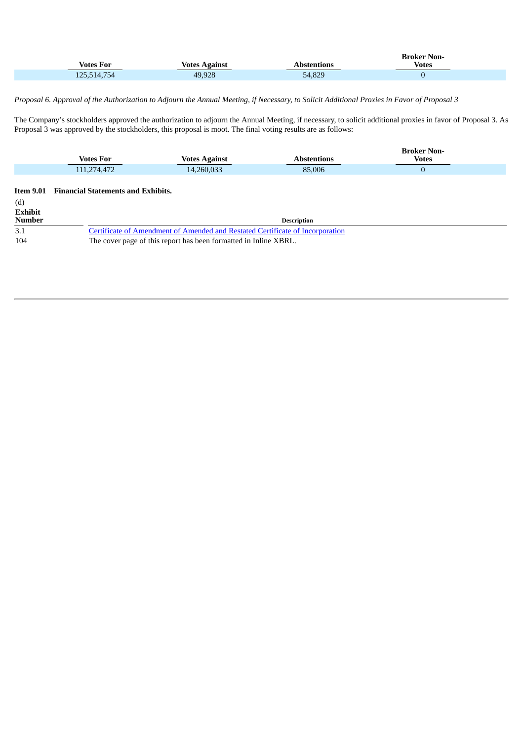| <b>Votes For</b> | Votes Against | Abstentions | <b>Broker Non-</b><br><b>Votes</b> |  |
|------------------|---------------|-------------|------------------------------------|--|
| 125,514,754      | 49,928        | 54,829      |                                    |  |

#### Proposal 6. Approval of the Authorization to Adjourn the Annual Meeting, if Necessary, to Solicit Additional Proxies in Favor of Proposal 3

The Company's stockholders approved the authorization to adjourn the Annual Meeting, if necessary, to solicit additional proxies in favor of Proposal 3. As Proposal 3 was approved by the stockholders, this proposal is moot. The final voting results are as follows:

| <b>Votes For</b> | <b>Votes Against</b> | Abstentions | <b>Broker Non-</b><br><b>Votes</b> |
|------------------|----------------------|-------------|------------------------------------|
| 111,274,472      | 14,260,033           | 85,006      |                                    |

| (d)                                                                                         |  |
|---------------------------------------------------------------------------------------------|--|
| <b>Exhibit</b>                                                                              |  |
| <b>Number</b><br><b>Description</b>                                                         |  |
| <b>Certificate of Amendment of Amended and Restated Certificate of Incorporation</b><br>3.1 |  |
| The cover page of this report has been formatted in Inline XBRL.<br>104                     |  |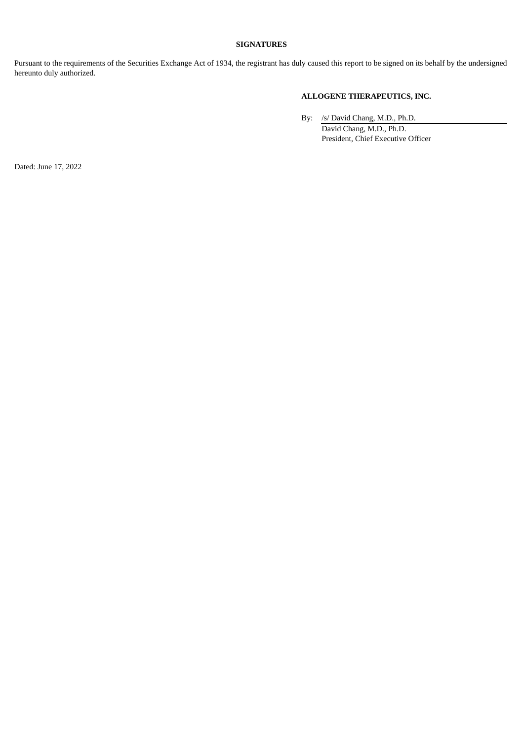#### **SIGNATURES**

Pursuant to the requirements of the Securities Exchange Act of 1934, the registrant has duly caused this report to be signed on its behalf by the undersigned hereunto duly authorized.

#### **ALLOGENE THERAPEUTICS, INC.**

By: /s/ David Chang, M.D., Ph.D. David Chang, M.D., Ph.D. President, Chief Executive Officer

Dated: June 17, 2022